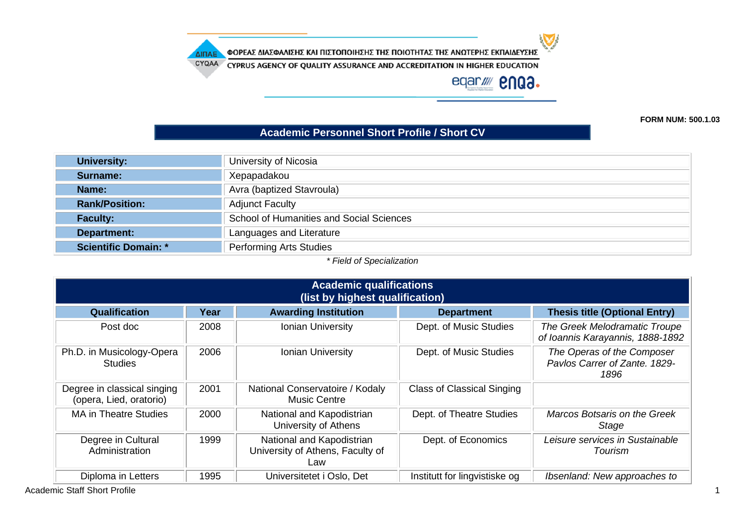ΦΟΡΕΑΣ ΔΙΑΣΦΑΛΙΣΗΣ ΚΑΙ ΠΙΣΤΟΠΟΙΗΣΗΣ ΤΗΣ ΠΟΙΟΤΗΤΑΣ ΤΗΣ ΑΝΩΤΕΡΗΣ ΕΚΠΑΙΔΕΥΣΗΣ ΔΙΠΑΕ

CYQAA CYPRUS AGENCY OF QUALITY ASSURANCE AND ACCREDITATION IN HIGHER EDUCATION

eqar//// **enga.** 

**FORM NUM: 500.1.03**

#### **Academic Personnel Short Profile / Short CV**

| University:                 | University of Nicosia                    |
|-----------------------------|------------------------------------------|
| Surname:                    | Xepapadakou                              |
| Name:                       | Avra (baptized Stavroula)                |
| <b>Rank/Position:</b>       | <b>Adjunct Faculty</b>                   |
| <b>Faculty:</b>             | School of Humanities and Social Sciences |
| Department:                 | Languages and Literature                 |
| <b>Scientific Domain: *</b> | <b>Performing Arts Studies</b>           |

*\* Field of Specialization*

| <b>Academic qualifications</b><br>(list by highest qualification) |      |                                                                      |                                   |                                                                     |  |
|-------------------------------------------------------------------|------|----------------------------------------------------------------------|-----------------------------------|---------------------------------------------------------------------|--|
| Qualification                                                     | Year | <b>Awarding Institution</b>                                          | <b>Department</b>                 | <b>Thesis title (Optional Entry)</b>                                |  |
| Post doc                                                          | 2008 | Ionian University                                                    | Dept. of Music Studies            | The Greek Melodramatic Troupe<br>of Ioannis Karayannis, 1888-1892   |  |
| Ph.D. in Musicology-Opera<br><b>Studies</b>                       | 2006 | <b>Ionian University</b>                                             | Dept. of Music Studies            | The Operas of the Composer<br>Pavlos Carrer of Zante, 1829-<br>1896 |  |
| Degree in classical singing<br>(opera, Lied, oratorio)            | 2001 | National Conservatoire / Kodaly<br><b>Music Centre</b>               | <b>Class of Classical Singing</b> |                                                                     |  |
| <b>MA in Theatre Studies</b>                                      | 2000 | National and Kapodistrian<br>University of Athens                    | Dept. of Theatre Studies          | Marcos Botsaris on the Greek<br>Stage                               |  |
| Degree in Cultural<br>Administration                              | 1999 | National and Kapodistrian<br>University of Athens, Faculty of<br>Law | Dept. of Economics                | Leisure services in Sustainable<br>Tourism                          |  |
| Diploma in Letters                                                | 1995 | Universitetet i Oslo, Det                                            | Institutt for lingvistiske og     | Ibsenland: New approaches to                                        |  |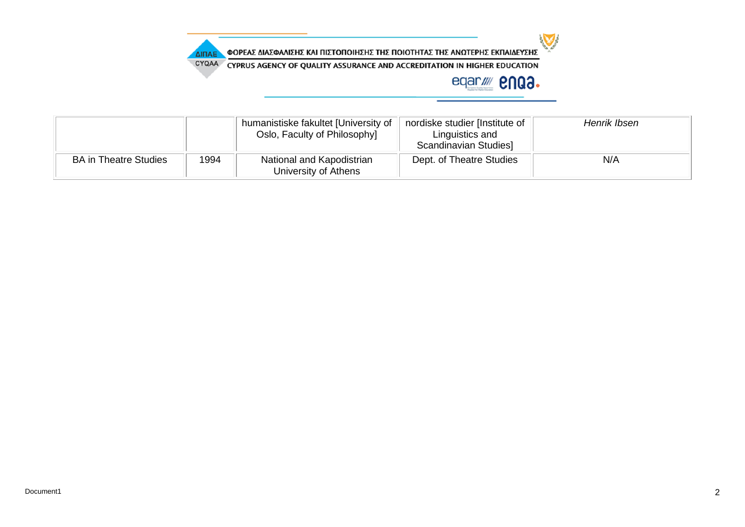

CYQAA CYPRUS AGENCY OF QUALITY ASSURANCE AND ACCREDITATION IN HIGHER EDUCATION

ΔΙΠΑΕ

|                              |      | humanistiske fakultet [University of<br>Oslo, Faculty of Philosophy] | nordiske studier [Institute of<br>Linguistics and<br>Scandinavian Studies | Henrik Ibsen |
|------------------------------|------|----------------------------------------------------------------------|---------------------------------------------------------------------------|--------------|
| <b>BA in Theatre Studies</b> | 1994 | National and Kapodistrian<br>University of Athens                    | Dept. of Theatre Studies                                                  | N/A          |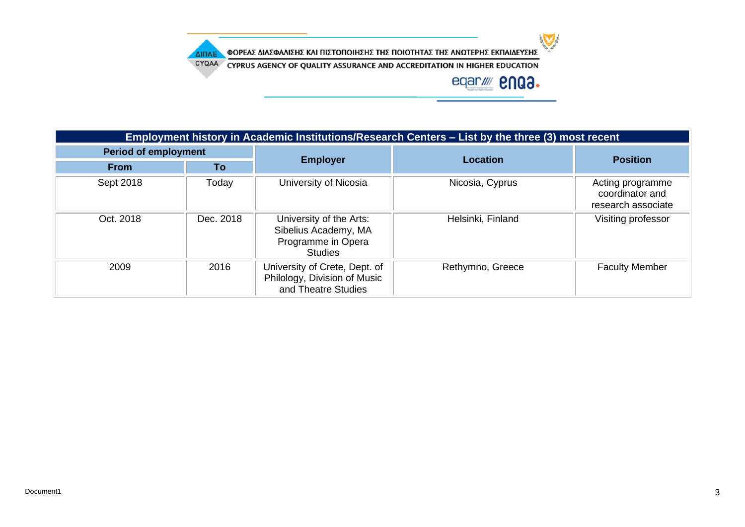ΦΟΡΕΑΣ ΔΙΑΣΦΑΛΙΣΗΣ ΚΑΙ ΠΙΣΤΟΠΟΙΗΣΗΣ ΤΗΣ ΠΟΙΟΤΗΤΑΣ ΤΗΣ ΑΝΩΤΕΡΗΣ ΕΚΠΑΙΔΕΥΣΗΣ ΔΙΠΑΕ

CYQAA CYPRUS AGENCY OF QUALITY ASSURANCE AND ACCREDITATION IN HIGHER EDUCATION



| Employment history in Academic Institutions/Research Centers – List by the three (3) most recent |           |                                                                                         |                   |                                                           |  |
|--------------------------------------------------------------------------------------------------|-----------|-----------------------------------------------------------------------------------------|-------------------|-----------------------------------------------------------|--|
| <b>Period of employment</b>                                                                      |           |                                                                                         | <b>Location</b>   | <b>Position</b>                                           |  |
| <b>From</b>                                                                                      | To        | <b>Employer</b>                                                                         |                   |                                                           |  |
| Sept 2018                                                                                        | Today     | University of Nicosia                                                                   | Nicosia, Cyprus   | Acting programme<br>coordinator and<br>research associate |  |
| Oct. 2018                                                                                        | Dec. 2018 | University of the Arts:<br>Sibelius Academy, MA<br>Programme in Opera<br><b>Studies</b> | Helsinki, Finland | Visiting professor                                        |  |
| 2009                                                                                             | 2016      | University of Crete, Dept. of<br>Philology, Division of Music<br>and Theatre Studies    | Rethymno, Greece  | <b>Faculty Member</b>                                     |  |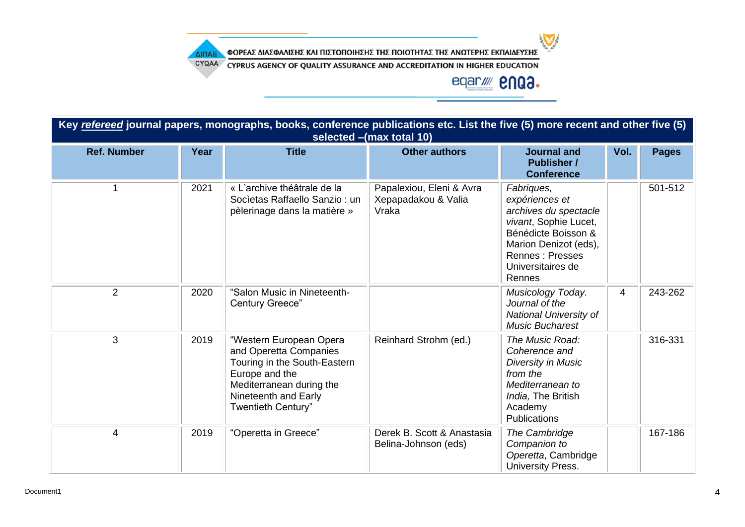ΦΟΡΕΑΣ ΔΙΑΣΦΑΛΙΣΗΣ ΚΑΙ ΠΙΣΤΟΠΟΙΗΣΗΣ ΤΗΣ ΠΟΙΟΤΗΤΑΣ ΤΗΣ ΑΝΩΤΕΡΗΣ ΕΚΠΑΙΔΕΥΣΗΣ ΔΙΠΑΕ

CYQAA CYPRUS AGENCY OF QUALITY ASSURANCE AND ACCREDITATION IN HIGHER EDUCATION

# eqar//// **2NQ3.**

| Key refereed journal papers, monographs, books, conference publications etc. List the five (5) more recent and other five (5)<br>selected - (max total 10) |      |                                                                                                                                                                               |                                                          |                                                                                                                                                                                  |      |              |
|------------------------------------------------------------------------------------------------------------------------------------------------------------|------|-------------------------------------------------------------------------------------------------------------------------------------------------------------------------------|----------------------------------------------------------|----------------------------------------------------------------------------------------------------------------------------------------------------------------------------------|------|--------------|
| <b>Ref. Number</b>                                                                                                                                         | Year | <b>Title</b>                                                                                                                                                                  | <b>Other authors</b>                                     | <b>Journal and</b><br><b>Publisher /</b><br><b>Conference</b>                                                                                                                    | Vol. | <b>Pages</b> |
| 1                                                                                                                                                          | 2021 | « L'archive théâtrale de la<br>Societas Raffaello Sanzio: un<br>pèlerinage dans la matière »                                                                                  | Papalexiou, Eleni & Avra<br>Xepapadakou & Valia<br>Vraka | Fabriques,<br>expériences et<br>archives du spectacle<br>vivant, Sophie Lucet,<br>Bénédicte Boisson &<br>Marion Denizot (eds),<br>Rennes: Presses<br>Universitaires de<br>Rennes |      | 501-512      |
| $\overline{2}$                                                                                                                                             | 2020 | "Salon Music in Nineteenth-<br>Century Greece"                                                                                                                                |                                                          | Musicology Today.<br>Journal of the<br>National University of<br><b>Music Bucharest</b>                                                                                          | 4    | 243-262      |
| 3                                                                                                                                                          | 2019 | "Western European Opera<br>and Operetta Companies<br>Touring in the South-Eastern<br>Europe and the<br>Mediterranean during the<br>Nineteenth and Early<br>Twentieth Century" | Reinhard Strohm (ed.)                                    | The Music Road:<br>Coherence and<br><b>Diversity in Music</b><br>from the<br>Mediterranean to<br>India, The British<br>Academy<br>Publications                                   |      | 316-331      |
| 4                                                                                                                                                          | 2019 | "Operetta in Greece"                                                                                                                                                          | Derek B. Scott & Anastasia<br>Belina-Johnson (eds)       | The Cambridge<br>Companion to<br>Operetta, Cambridge<br>University Press.                                                                                                        |      | 167-186      |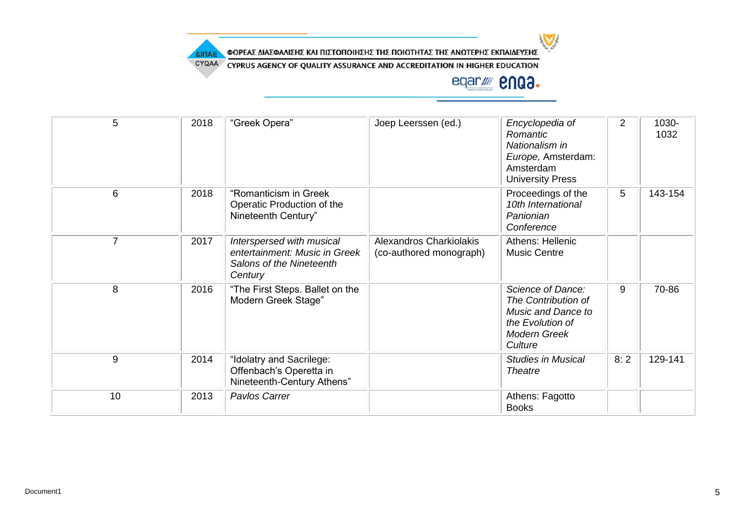

CYQAA CYPRUS AGENCY OF QUALITY ASSURANCE AND ACCREDITATION IN HIGHER EDUCATION

| 5              | 2018 | "Greek Opera"                                                                                     | Joep Leerssen (ed.)                                | Encyclopedia of<br>Romantic<br>Nationalism in<br>Europe, Amsterdam:<br>Amsterdam<br><b>University Press</b>          | $\overline{2}$ | 1030-<br>1032 |
|----------------|------|---------------------------------------------------------------------------------------------------|----------------------------------------------------|----------------------------------------------------------------------------------------------------------------------|----------------|---------------|
| 6              | 2018 | "Romanticism in Greek<br>Operatic Production of the<br>Nineteenth Century"                        |                                                    | Proceedings of the<br>10th International<br>Panionian<br>Conference                                                  | 5              | 143-154       |
| $\overline{7}$ | 2017 | Interspersed with musical<br>entertainment: Music in Greek<br>Salons of the Nineteenth<br>Century | Alexandros Charkiolakis<br>(co-authored monograph) | Athens: Hellenic<br><b>Music Centre</b>                                                                              |                |               |
| 8              | 2016 | "The First Steps. Ballet on the<br>Modern Greek Stage"                                            |                                                    | Science of Dance:<br>The Contribution of<br>Music and Dance to<br>the Evolution of<br><b>Modern Greek</b><br>Culture | 9              | 70-86         |
| 9              | 2014 | "Idolatry and Sacrilege:<br>Offenbach's Operetta in<br>Nineteenth-Century Athens"                 |                                                    | <b>Studies in Musical</b><br><b>Theatre</b>                                                                          | 8:2            | 129-141       |
| 10             | 2013 | Pavlos Carrer                                                                                     |                                                    | Athens: Fagotto<br><b>Books</b>                                                                                      |                |               |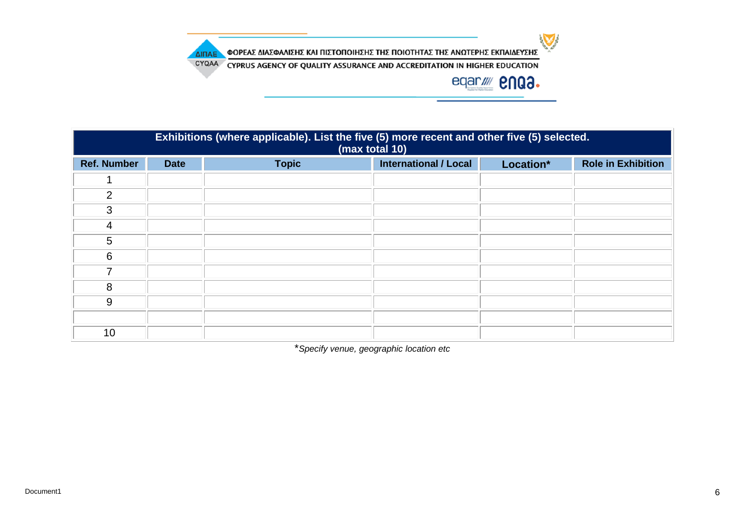

CYQAA CYPRUS AGENCY OF QUALITY ASSURANCE AND ACCREDITATION IN HIGHER EDUCATION

ΔΙΠΑΕ

# eqar//// **enga.**

| Exhibitions (where applicable). List the five (5) more recent and other five (5) selected.<br>(max total 10) |             |              |                              |           |                           |  |
|--------------------------------------------------------------------------------------------------------------|-------------|--------------|------------------------------|-----------|---------------------------|--|
| <b>Ref. Number</b>                                                                                           | <b>Date</b> | <b>Topic</b> | <b>International / Local</b> | Location* | <b>Role in Exhibition</b> |  |
|                                                                                                              |             |              |                              |           |                           |  |
| 2                                                                                                            |             |              |                              |           |                           |  |
| 3                                                                                                            |             |              |                              |           |                           |  |
| 4                                                                                                            |             |              |                              |           |                           |  |
| 5                                                                                                            |             |              |                              |           |                           |  |
| 6                                                                                                            |             |              |                              |           |                           |  |
| 7                                                                                                            |             |              |                              |           |                           |  |
| 8                                                                                                            |             |              |                              |           |                           |  |
| 9                                                                                                            |             |              |                              |           |                           |  |
|                                                                                                              |             |              |                              |           |                           |  |
| 10                                                                                                           |             |              |                              |           |                           |  |

\**Specify venue, geographic location etc*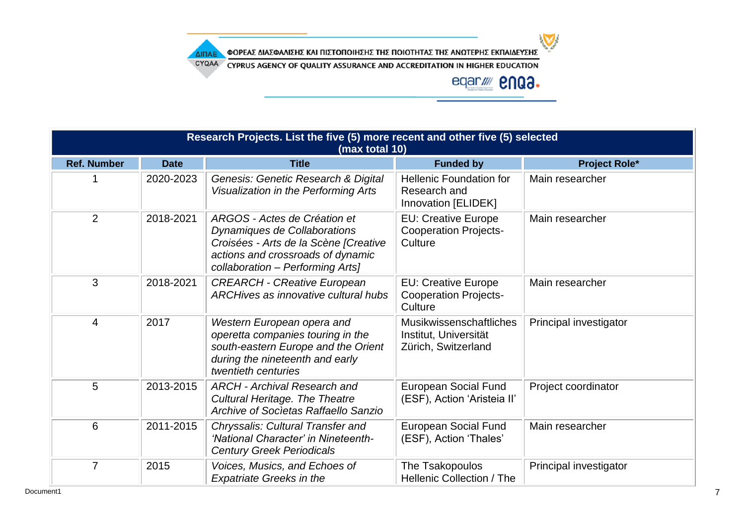ΦΟΡΕΑΣ ΔΙΑΣΦΑΛΙΣΗΣ ΚΑΙ ΠΙΣΤΟΠΟΙΗΣΗΣ ΤΗΣ ΠΟΙΟΤΗΤΑΣ ΤΗΣ ΑΝΩΤΕΡΗΣ ΕΚΠΑΙΔΕΥΣΗΣ ΔΙΠΑΕ

CYQAA CYPRUS AGENCY OF QUALITY ASSURANCE AND ACCREDITATION IN HIGHER EDUCATION



|                    | Research Projects. List the five (5) more recent and other five (5) selected<br>(max total 10) |                                                                                                                                                                                |                                                                                |                        |  |  |  |
|--------------------|------------------------------------------------------------------------------------------------|--------------------------------------------------------------------------------------------------------------------------------------------------------------------------------|--------------------------------------------------------------------------------|------------------------|--|--|--|
| <b>Ref. Number</b> | <b>Date</b>                                                                                    | <b>Title</b>                                                                                                                                                                   | <b>Funded by</b>                                                               | <b>Project Role*</b>   |  |  |  |
|                    | 2020-2023                                                                                      | Genesis: Genetic Research & Digital<br>Visualization in the Performing Arts                                                                                                    | <b>Hellenic Foundation for</b><br>Research and<br>Innovation [ELIDEK]          | Main researcher        |  |  |  |
| 2                  | 2018-2021                                                                                      | ARGOS - Actes de Création et<br>Dynamiques de Collaborations<br>Croisées - Arts de la Scène [Creative<br>actions and crossroads of dynamic<br>collaboration - Performing Arts] | <b>EU: Creative Europe</b><br><b>Cooperation Projects-</b><br>Culture          | Main researcher        |  |  |  |
| 3                  | 2018-2021                                                                                      | <b>CREARCH - CReative European</b><br>ARCHives as innovative cultural hubs                                                                                                     | <b>EU: Creative Europe</b><br><b>Cooperation Projects-</b><br>Culture          | Main researcher        |  |  |  |
| 4                  | 2017                                                                                           | Western European opera and<br>operetta companies touring in the<br>south-eastern Europe and the Orient<br>during the nineteenth and early<br>twentieth centuries               | <b>Musikwissenschaftliches</b><br>Institut, Universität<br>Zürich, Switzerland | Principal investigator |  |  |  |
| 5                  | 2013-2015                                                                                      | <b>ARCH - Archival Research and</b><br><b>Cultural Heritage. The Theatre</b><br>Archive of Societas Raffaello Sanzio                                                           | <b>European Social Fund</b><br>(ESF), Action 'Aristeia II'                     | Project coordinator    |  |  |  |
| 6                  | 2011-2015                                                                                      | Chryssalis: Cultural Transfer and<br>'National Character' in Nineteenth-<br><b>Century Greek Periodicals</b>                                                                   | <b>European Social Fund</b><br>(ESF), Action 'Thales'                          | Main researcher        |  |  |  |
| $\overline{7}$     | 2015                                                                                           | Voices, Musics, and Echoes of<br><b>Expatriate Greeks in the</b>                                                                                                               | The Tsakopoulos<br><b>Hellenic Collection / The</b>                            | Principal investigator |  |  |  |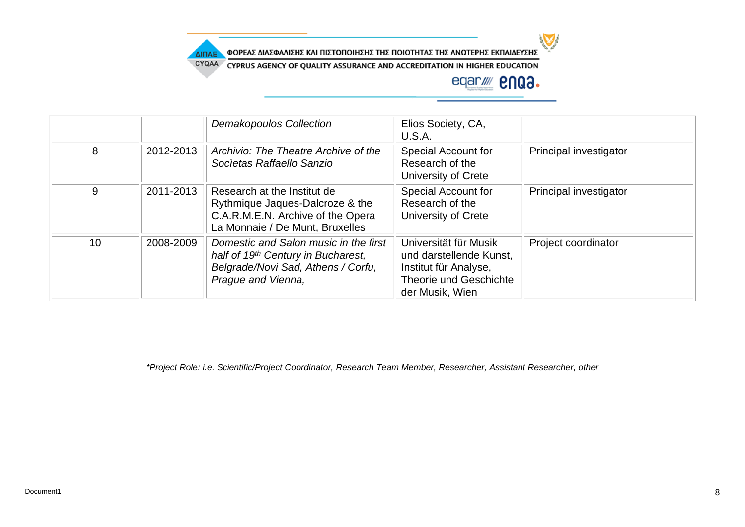

CYQAA CYPRUS AGENCY OF QUALITY ASSURANCE AND ACCREDITATION IN HIGHER EDUCATION

# eqar//// **enga.**

|    |           | <b>Demakopoulos Collection</b>                                                                                                          | Elios Society, CA,<br>U.S.A.                                                                                                  |                        |
|----|-----------|-----------------------------------------------------------------------------------------------------------------------------------------|-------------------------------------------------------------------------------------------------------------------------------|------------------------|
| 8  | 2012-2013 | Archivio: The Theatre Archive of the<br>Societas Raffaello Sanzio                                                                       | Special Account for<br>Research of the<br>University of Crete                                                                 | Principal investigator |
| 9  | 2011-2013 | Research at the Institut de<br>Rythmique Jaques-Dalcroze & the<br>C.A.R.M.E.N. Archive of the Opera<br>La Monnaie / De Munt, Bruxelles  | Special Account for<br>Research of the<br>University of Crete                                                                 | Principal investigator |
| 10 | 2008-2009 | Domestic and Salon music in the first<br>half of 19th Century in Bucharest,<br>Belgrade/Novi Sad, Athens / Corfu,<br>Prague and Vienna, | Universität für Musik<br>und darstellende Kunst.<br>Institut für Analyse,<br><b>Theorie und Geschichte</b><br>der Musik, Wien | Project coordinator    |

*\*Project Role: i.e. Scientific/Project Coordinator, Research Team Member, Researcher, Assistant Researcher, other*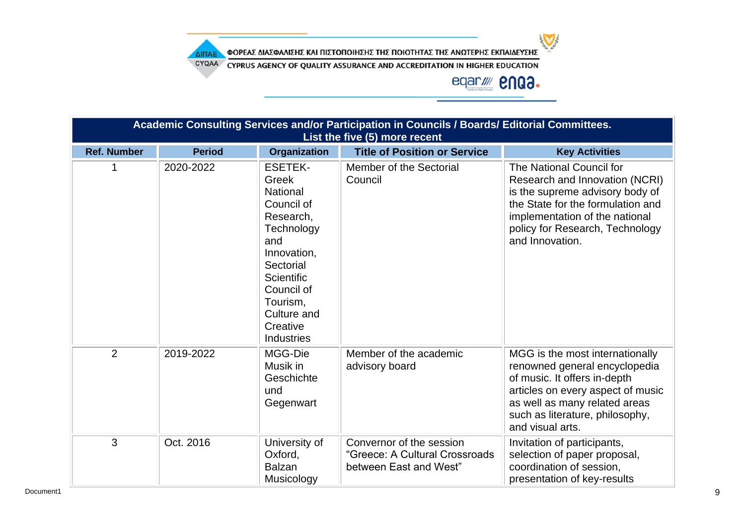ΦΟΡΕΑΣ ΔΙΑΣΦΑΛΙΣΗΣ ΚΑΙ ΠΙΣΤΟΠΟΙΗΣΗΣ ΤΗΣ ΠΟΙΟΤΗΤΑΣ ΤΗΣ ΑΝΩΤΕΡΗΣ ΕΚΠΑΙΔΕΥΣΗΣ ΔΙΠΑΕ

CYQAA CYPRUS AGENCY OF QUALITY ASSURANCE AND ACCREDITATION IN HIGHER EDUCATION

| Academic Consulting Services and/or Participation in Councils / Boards/ Editorial Committees.<br>List the five (5) more recent |               |                                                                                                                                                                                                                       |                                                                                      |                                                                                                                                                                                                                               |  |
|--------------------------------------------------------------------------------------------------------------------------------|---------------|-----------------------------------------------------------------------------------------------------------------------------------------------------------------------------------------------------------------------|--------------------------------------------------------------------------------------|-------------------------------------------------------------------------------------------------------------------------------------------------------------------------------------------------------------------------------|--|
| <b>Ref. Number</b>                                                                                                             | <b>Period</b> | <b>Organization</b>                                                                                                                                                                                                   | <b>Title of Position or Service</b>                                                  | <b>Key Activities</b>                                                                                                                                                                                                         |  |
|                                                                                                                                | 2020-2022     | <b>ESETEK-</b><br>Greek<br><b>National</b><br>Council of<br>Research,<br>Technology<br>and<br>Innovation,<br>Sectorial<br><b>Scientific</b><br>Council of<br>Tourism,<br>Culture and<br>Creative<br><b>Industries</b> | Member of the Sectorial<br>Council                                                   | The National Council for<br>Research and Innovation (NCRI)<br>is the supreme advisory body of<br>the State for the formulation and<br>implementation of the national<br>policy for Research, Technology<br>and Innovation.    |  |
| $\overline{2}$                                                                                                                 | 2019-2022     | MGG-Die<br>Musik in<br>Geschichte<br>und<br>Gegenwart                                                                                                                                                                 | Member of the academic<br>advisory board                                             | MGG is the most internationally<br>renowned general encyclopedia<br>of music. It offers in-depth<br>articles on every aspect of music<br>as well as many related areas<br>such as literature, philosophy,<br>and visual arts. |  |
| 3                                                                                                                              | Oct. 2016     | University of<br>Oxford,<br><b>Balzan</b><br>Musicology                                                                                                                                                               | Convernor of the session<br>"Greece: A Cultural Crossroads<br>between East and West" | Invitation of participants,<br>selection of paper proposal,<br>coordination of session,<br>presentation of key-results                                                                                                        |  |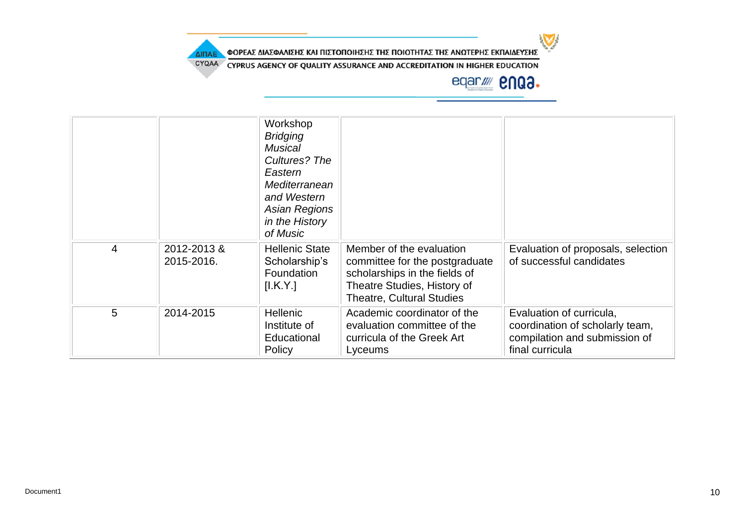

CYQAA CYPRUS AGENCY OF QUALITY ASSURANCE AND ACCREDITATION IN HIGHER EDUCATION

ΔΙΠΑΕ

### eqar//// **2NQ3.**

|                |                           | Workshop<br><b>Bridging</b><br><b>Musical</b><br>Cultures? The<br>Eastern<br>Mediterranean<br>and Western<br><b>Asian Regions</b><br>in the History<br>of Music |                                                                                                                                                                |                                                                                                                 |
|----------------|---------------------------|-----------------------------------------------------------------------------------------------------------------------------------------------------------------|----------------------------------------------------------------------------------------------------------------------------------------------------------------|-----------------------------------------------------------------------------------------------------------------|
| $\overline{4}$ | 2012-2013 &<br>2015-2016. | <b>Hellenic State</b><br>Scholarship's<br>Foundation<br>[I.K.Y.]                                                                                                | Member of the evaluation<br>committee for the postgraduate<br>scholarships in the fields of<br>Theatre Studies, History of<br><b>Theatre, Cultural Studies</b> | Evaluation of proposals, selection<br>of successful candidates                                                  |
| 5              | 2014-2015                 | <b>Hellenic</b><br>Institute of<br>Educational<br>Policy                                                                                                        | Academic coordinator of the<br>evaluation committee of the<br>curricula of the Greek Art<br>Lyceums                                                            | Evaluation of curricula,<br>coordination of scholarly team,<br>compilation and submission of<br>final curricula |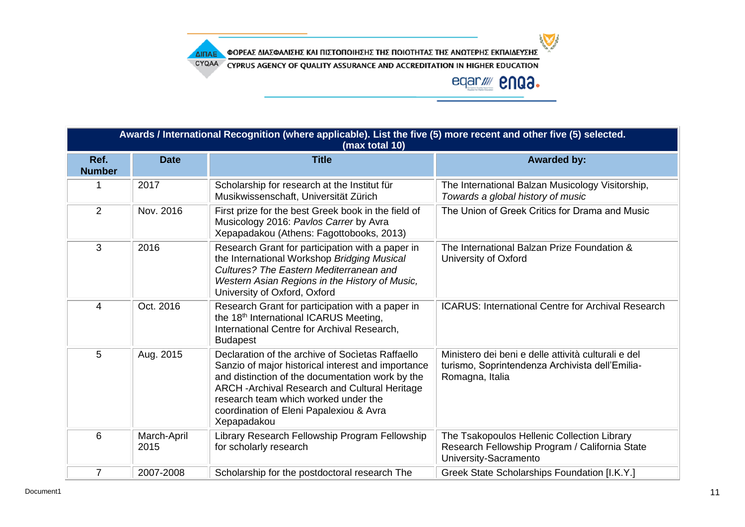ΦΟΡΕΑΣ ΔΙΑΣΦΑΛΙΣΗΣ ΚΑΙ ΠΙΣΤΟΠΟΙΗΣΗΣ ΤΗΣ ΠΟΙΟΤΗΤΑΣ ΤΗΣ ΑΝΩΤΕΡΗΣ ΕΚΠΑΙΔΕΥΣΗΣ

CYQAA CYPRUS AGENCY OF QUALITY ASSURANCE AND ACCREDITATION IN HIGHER EDUCATION

ΔΙΠΑΕ

eqar//// **enga.** 

| Awards / International Recognition (where applicable). List the five (5) more recent and other five (5) selected.<br>(max total 10) |                     |                                                                                                                                                                                                                                                                                                                |                                                                                                                           |  |  |  |
|-------------------------------------------------------------------------------------------------------------------------------------|---------------------|----------------------------------------------------------------------------------------------------------------------------------------------------------------------------------------------------------------------------------------------------------------------------------------------------------------|---------------------------------------------------------------------------------------------------------------------------|--|--|--|
| Ref.<br><b>Number</b>                                                                                                               | <b>Date</b>         | <b>Title</b>                                                                                                                                                                                                                                                                                                   | <b>Awarded by:</b>                                                                                                        |  |  |  |
|                                                                                                                                     | 2017                | Scholarship for research at the Institut für<br>Musikwissenschaft, Universität Zürich                                                                                                                                                                                                                          | The International Balzan Musicology Visitorship,<br>Towards a global history of music                                     |  |  |  |
| 2                                                                                                                                   | Nov. 2016           | First prize for the best Greek book in the field of<br>Musicology 2016: Pavlos Carrer by Avra<br>Xepapadakou (Athens: Fagottobooks, 2013)                                                                                                                                                                      | The Union of Greek Critics for Drama and Music                                                                            |  |  |  |
| 3                                                                                                                                   | 2016                | Research Grant for participation with a paper in<br>the International Workshop Bridging Musical<br>Cultures? The Eastern Mediterranean and<br>Western Asian Regions in the History of Music,<br>University of Oxford, Oxford                                                                                   | The International Balzan Prize Foundation &<br>University of Oxford                                                       |  |  |  |
| 4                                                                                                                                   | Oct. 2016           | Research Grant for participation with a paper in<br>the 18 <sup>th</sup> International ICARUS Meeting,<br>International Centre for Archival Research,<br><b>Budapest</b>                                                                                                                                       | <b>ICARUS: International Centre for Archival Research</b>                                                                 |  |  |  |
| 5                                                                                                                                   | Aug. 2015           | Declaration of the archive of Societas Raffaello<br>Sanzio of major historical interest and importance<br>and distinction of the documentation work by the<br>ARCH - Archival Research and Cultural Heritage<br>research team which worked under the<br>coordination of Eleni Papalexiou & Avra<br>Xepapadakou | Ministero dei beni e delle attività culturali e del<br>turismo, Soprintendenza Archivista dell'Emilia-<br>Romagna, Italia |  |  |  |
| 6                                                                                                                                   | March-April<br>2015 | Library Research Fellowship Program Fellowship<br>for scholarly research                                                                                                                                                                                                                                       | The Tsakopoulos Hellenic Collection Library<br>Research Fellowship Program / California State<br>University-Sacramento    |  |  |  |
| $\overline{7}$                                                                                                                      | 2007-2008           | Scholarship for the postdoctoral research The                                                                                                                                                                                                                                                                  | Greek State Scholarships Foundation [I.K.Y.]                                                                              |  |  |  |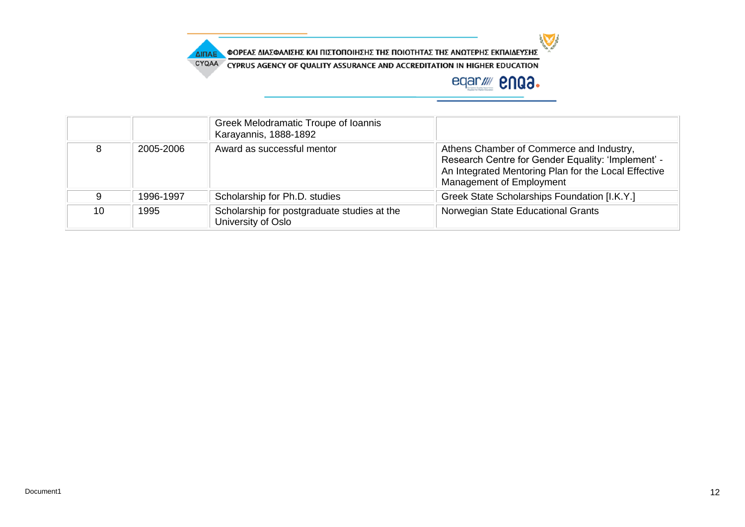

CYQAA CYPRUS AGENCY OF QUALITY ASSURANCE AND ACCREDITATION IN HIGHER EDUCATION

ΔΙΠΑΕ

|    |           | Greek Melodramatic Troupe of Ioannis<br>Karayannis, 1888-1892     |                                                                                                                                                                                    |
|----|-----------|-------------------------------------------------------------------|------------------------------------------------------------------------------------------------------------------------------------------------------------------------------------|
|    | 2005-2006 | Award as successful mentor                                        | Athens Chamber of Commerce and Industry,<br>Research Centre for Gender Equality: 'Implement' -<br>An Integrated Mentoring Plan for the Local Effective<br>Management of Employment |
|    | 1996-1997 | Scholarship for Ph.D. studies                                     | Greek State Scholarships Foundation [I.K.Y.]                                                                                                                                       |
| 10 | 1995      | Scholarship for postgraduate studies at the<br>University of Oslo | Norwegian State Educational Grants                                                                                                                                                 |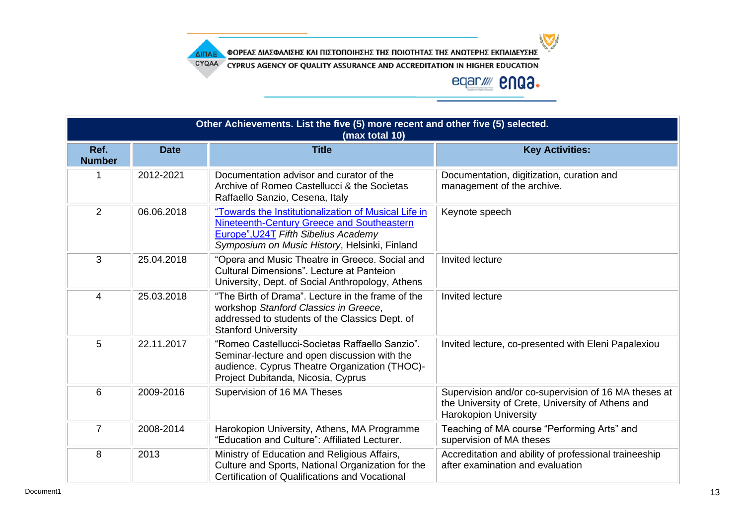ΦΟΡΕΑΣ ΔΙΑΣΦΑΛΙΣΗΣ ΚΑΙ ΠΙΣΤΟΠΟΙΗΣΗΣ ΤΗΣ ΠΟΙΟΤΗΤΑΣ ΤΗΣ ΑΝΩΤΕΡΗΣ ΕΚΠΑΙΔΕΥΣΗΣ ΔΙΠΑΕ

CYQAA CYPRUS AGENCY OF QUALITY ASSURANCE AND ACCREDITATION IN HIGHER EDUCATION

### eqar//// **2NQ3.**

| Other Achievements. List the five (5) more recent and other five (5) selected.<br>(max total 10) |             |                                                                                                                                                                                             |                                                                                                                                           |  |  |  |
|--------------------------------------------------------------------------------------------------|-------------|---------------------------------------------------------------------------------------------------------------------------------------------------------------------------------------------|-------------------------------------------------------------------------------------------------------------------------------------------|--|--|--|
| Ref.<br><b>Number</b>                                                                            | <b>Date</b> | <b>Title</b>                                                                                                                                                                                | <b>Key Activities:</b>                                                                                                                    |  |  |  |
|                                                                                                  | 2012-2021   | Documentation advisor and curator of the<br>Archive of Romeo Castellucci & the Societas<br>Raffaello Sanzio, Cesena, Italy                                                                  | Documentation, digitization, curation and<br>management of the archive.                                                                   |  |  |  |
| $\overline{2}$                                                                                   | 06.06.2018  | "Towards the Institutionalization of Musical Life in<br>Nineteenth-Century Greece and Southeastern<br>Europe", U24T Fifth Sibelius Academy<br>Symposium on Music History, Helsinki, Finland | Keynote speech                                                                                                                            |  |  |  |
| 3                                                                                                | 25.04.2018  | "Opera and Music Theatre in Greece. Social and<br><b>Cultural Dimensions", Lecture at Panteion</b><br>University, Dept. of Social Anthropology, Athens                                      | Invited lecture                                                                                                                           |  |  |  |
| 4                                                                                                | 25.03.2018  | "The Birth of Drama". Lecture in the frame of the<br>workshop Stanford Classics in Greece,<br>addressed to students of the Classics Dept. of<br><b>Stanford University</b>                  | Invited lecture                                                                                                                           |  |  |  |
| 5                                                                                                | 22.11.2017  | "Romeo Castellucci-Societas Raffaello Sanzio".<br>Seminar-lecture and open discussion with the<br>audience. Cyprus Theatre Organization (THOC)-<br>Project Dubitanda, Nicosia, Cyprus       | Invited lecture, co-presented with Eleni Papalexiou                                                                                       |  |  |  |
| 6                                                                                                | 2009-2016   | Supervision of 16 MA Theses                                                                                                                                                                 | Supervision and/or co-supervision of 16 MA theses at<br>the University of Crete, University of Athens and<br><b>Harokopion University</b> |  |  |  |
| $\overline{7}$                                                                                   | 2008-2014   | Harokopion University, Athens, MA Programme<br>"Education and Culture": Affiliated Lecturer.                                                                                                | Teaching of MA course "Performing Arts" and<br>supervision of MA theses                                                                   |  |  |  |
| 8                                                                                                | 2013        | Ministry of Education and Religious Affairs,<br>Culture and Sports, National Organization for the<br>Certification of Qualifications and Vocational                                         | Accreditation and ability of professional traineeship<br>after examination and evaluation                                                 |  |  |  |